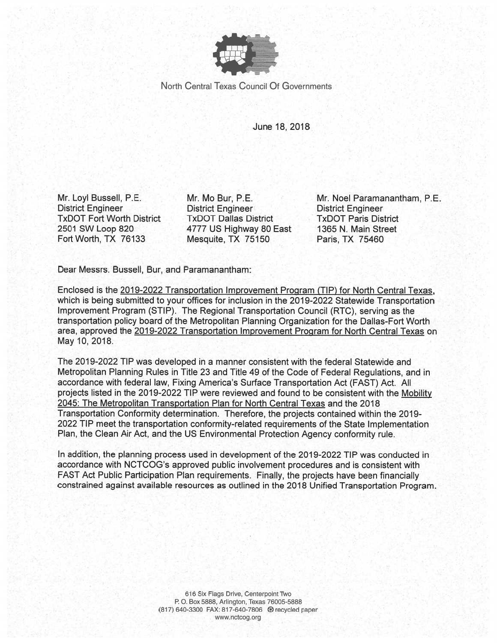

North Central Texas Council Of Governments

June 18, 2018

Mr. Loyl Bussell, P.E. **District Engineer TxDOT Fort Worth District** 2501 SW Loop 820 Fort Worth, TX 76133

Mr. Mo Bur. P.E. **District Engineer TxDOT Dallas District** 4777 US Highway 80 East Mesquite, TX 75150

Mr. Noel Paramanantham, P.E. **District Engineer TxDOT Paris District** 1365 N. Main Street Paris, TX 75460

Dear Messrs. Bussell, Bur, and Paramanantham:

Enclosed is the 2019-2022 Transportation Improvement Program (TIP) for North Central Texas, which is being submitted to your offices for inclusion in the 2019-2022 Statewide Transportation Improvement Program (STIP). The Regional Transportation Council (RTC), serving as the transportation policy board of the Metropolitan Planning Organization for the Dallas-Fort Worth area, approved the 2019-2022 Transportation Improvement Program for North Central Texas on May 10, 2018.

The 2019-2022 TIP was developed in a manner consistent with the federal Statewide and Metropolitan Planning Rules in Title 23 and Title 49 of the Code of Federal Regulations, and in accordance with federal law, Fixing America's Surface Transportation Act (FAST) Act. All projects listed in the 2019-2022 TIP were reviewed and found to be consistent with the Mobility 2045: The Metropolitan Transportation Plan for North Central Texas and the 2018 Transportation Conformity determination. Therefore, the projects contained within the 2019-2022 TIP meet the transportation conformity-related requirements of the State Implementation Plan, the Clean Air Act, and the US Environmental Protection Agency conformity rule.

In addition, the planning process used in development of the 2019-2022 TIP was conducted in accordance with NCTCOG's approved public involvement procedures and is consistent with FAST Act Public Participation Plan requirements. Finally, the projects have been financially constrained against available resources as outlined in the 2018 Unified Transportation Program.

> 616 Six Flags Drive, Centerpoint Two P.O. Box 5888, Arlington, Texas 76005-5888 (817) 640-3300 FAX: 817-640-7806 @ recycled paper www.nctcog.org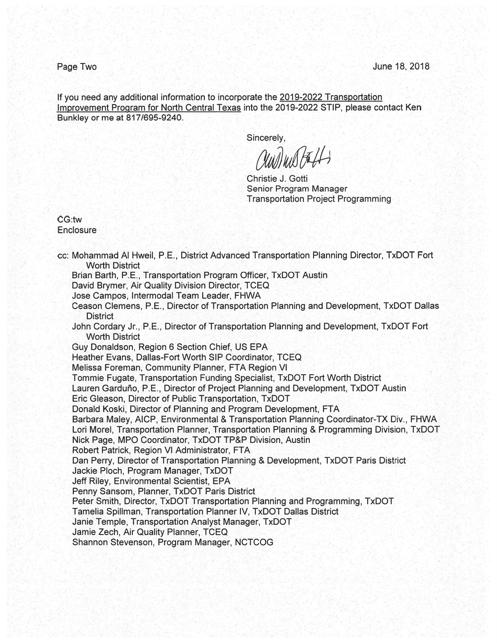Page Two

If you need any additional information to incorporate the 2019-2022 Transportation Improvement Program for North Central Texas into the 2019-2022 STIP, please contact Ken Bunkley or me at 817/695-9240.

Sincerely,

UNIVIA FELLS

Christie J. Gotti **Senior Program Manager Transportation Project Programming** 

CG:tw Enclosure

cc: Mohammad Al Hweil, P.E., District Advanced Transportation Planning Director, TxDOT Fort **Worth District** Brian Barth, P.E., Transportation Program Officer, TxDOT Austin David Brymer, Air Quality Division Director, TCEQ Jose Campos, Intermodal Team Leader, FHWA Ceason Clemens, P.E., Director of Transportation Planning and Development, TxDOT Dallas **District** John Cordary Jr., P.E., Director of Transportation Planning and Development, TxDOT Fort **Worth District** Guy Donaldson, Region 6 Section Chief, US EPA Heather Evans, Dallas-Fort Worth SIP Coordinator, TCEQ Melissa Foreman, Community Planner, FTA Region VI Tommie Fugate, Transportation Funding Specialist, TxDOT Fort Worth District Lauren Garduño, P.E., Director of Project Planning and Development, TxDOT Austin Eric Gleason, Director of Public Transportation, TxDOT Donald Koski, Director of Planning and Program Development, FTA Barbara Maley, AICP, Environmental & Transportation Planning Coordinator-TX Div., FHWA Lori Morel, Transportation Planner, Transportation Planning & Programming Division, TxDOT Nick Page, MPO Coordinator, TxDOT TP&P Division, Austin Robert Patrick, Region VI Administrator, FTA Dan Perry, Director of Transportation Planning & Development, TxDOT Paris District Jackie Ploch, Program Manager, TxDOT Jeff Riley, Environmental Scientist, EPA Penny Sansom, Planner, TxDOT Paris District Peter Smith, Director, TxDOT Transportation Planning and Programming, TxDOT Tamelia Spillman, Transportation Planner IV, TxDOT Dallas District Janie Temple, Transportation Analyst Manager, TxDOT Jamie Zech, Air Quality Planner, TCEQ Shannon Stevenson, Program Manager, NCTCOG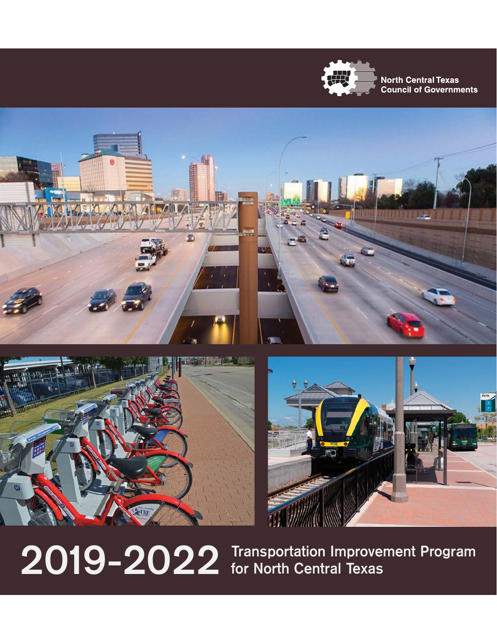

**North Central Texas Council of Governments** 







**2019-2022 Transportation Improvement Program for North Central Texas**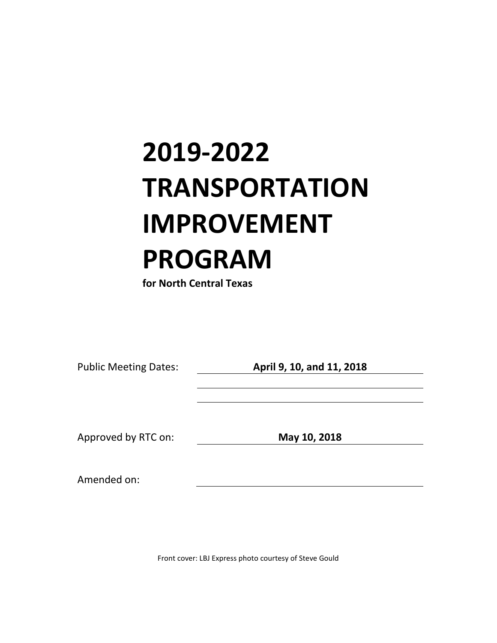# **2019-2022 TRANSPORTATION IMPROVEMENT PROGRAM**

**for North Central Texas**

Public Meeting Dates: **April 9, 10, and 11, 2018**

Approved by RTC on: **May 10, 2018**

Amended on:

Front cover: LBJ Express photo courtesy of Steve Gould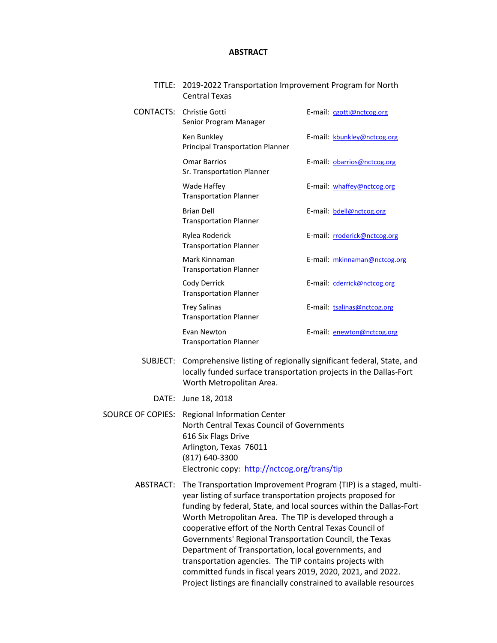#### **ABSTRACT**

TITLE: 2019-2022 Transportation Improvement Program for North Central Texas

| CONTACTS: | Christie Gotti<br>Senior Program Manager               | E-mail: cgotti@nctcog.org    |
|-----------|--------------------------------------------------------|------------------------------|
|           | Ken Bunkley<br><b>Principal Transportation Planner</b> | E-mail: kbunkley@nctcog.org  |
|           | <b>Omar Barrios</b><br>Sr. Transportation Planner      | E-mail: obarrios@nctcog.org  |
|           | Wade Haffey<br><b>Transportation Planner</b>           | E-mail: whaffey@nctcog.org   |
|           | <b>Brian Dell</b><br><b>Transportation Planner</b>     | E-mail: bdell@nctcog.org     |
|           | Rylea Roderick<br><b>Transportation Planner</b>        | E-mail: rroderick@nctcog.org |
|           | Mark Kinnaman<br><b>Transportation Planner</b>         | E-mail: mkinnaman@nctcog.org |
|           | Cody Derrick<br><b>Transportation Planner</b>          | E-mail: cderrick@nctcog.org  |
|           | Trey Salinas<br><b>Transportation Planner</b>          | E-mail: tsalinas@nctcog.org  |
|           | Evan Newton<br><b>Transportation Planner</b>           | E-mail: enewton@nctcog.org   |

- SUBJECT: Comprehensive listing of regionally significant federal, State, and locally funded surface transportation projects in the Dallas-Fort Worth Metropolitan Area.
	- DATE: June 18, 2018

SOURCE OF COPIES: Regional Information Center North Central Texas Council of Governments 616 Six Flags Drive Arlington, Texas 76011 (817) 640-3300 Electronic copy: <http://nctcog.org/trans/tip>

> ABSTRACT: The Transportation Improvement Program (TIP) is a staged, multiyear listing of surface transportation projects proposed for funding by federal, State, and local sources within the Dallas-Fort Worth Metropolitan Area. The TIP is developed through a cooperative effort of the North Central Texas Council of Governments' Regional Transportation Council, the Texas Department of Transportation, local governments, and transportation agencies. The TIP contains projects with committed funds in fiscal years 2019, 2020, 2021, and 2022. Project listings are financially constrained to available resources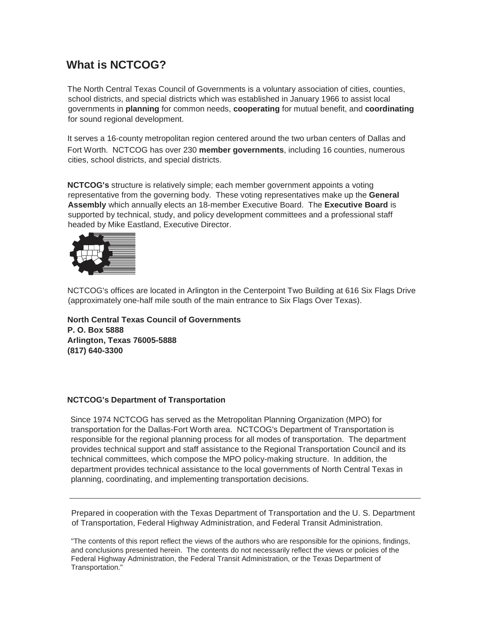## **What is NCTCOG?**

The North Central Texas Council of Governments is a voluntary association of cities, counties, school districts, and special districts which was established in January 1966 to assist local governments in **planning** for common needs, **cooperating** for mutual benefit, and **coordinating**  for sound regional development.

It serves a 16-county metropolitan region centered around the two urban centers of Dallas and Fort Worth. NCTCOG has over 230 **member governments**, including 16 counties, numerous cities, school districts, and special districts.

**NCTCOG's** structure is relatively simple; each member government appoints a voting representative from the governing body. These voting representatives make up the **General Assembly** which annually elects an 18-member Executive Board. The **Executive Board** is supported by technical, study, and policy development committees and a professional staff headed by Mike Eastland, Executive Director.



NCTCOG's offices are located in Arlington in the Centerpoint Two Building at 616 Six Flags Drive (approximately one-half mile south of the main entrance to Six Flags Over Texas).

**North Central Texas Council of Governments P. O. Box 5888 Arlington, Texas 76005-5888 (817) 640-3300**

### **NCTCOG's Department of Transportation**

Since 1974 NCTCOG has served as the Metropolitan Planning Organization (MPO) for transportation for the Dallas-Fort Worth area. NCTCOG's Department of Transportation is responsible for the regional planning process for all modes of transportation. The department provides technical support and staff assistance to the Regional Transportation Council and its technical committees, which compose the MPO policy-making structure. In addition, the department provides technical assistance to the local governments of North Central Texas in planning, coordinating, and implementing transportation decisions.

Prepared in cooperation with the Texas Department of Transportation and the U. S. Department of Transportation, Federal Highway Administration, and Federal Transit Administration.

"The contents of this report reflect the views of the authors who are responsible for the opinions, findings, and conclusions presented herein. The contents do not necessarily reflect the views or policies of the Federal Highway Administration, the Federal Transit Administration, or the Texas Department of Transportation."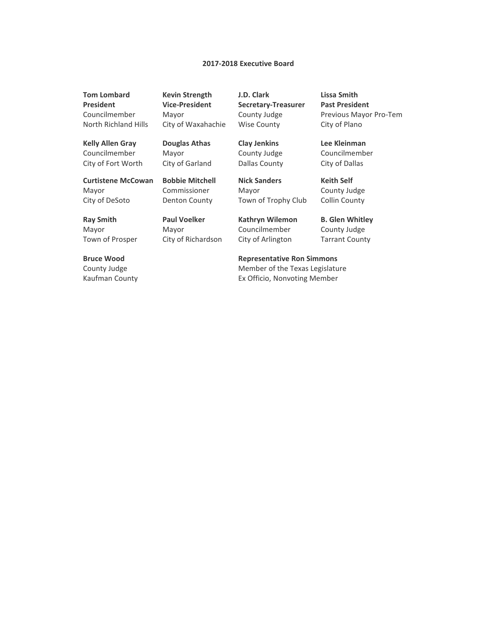#### **2017-2018 Executive Board**

**Tom Lombard President** Councilmember North Richland Hills **Kevin Strength Vice-President** Mayor City of Waxahachie

**Kelly Allen Gray** Councilmember **Douglas Athas** Mayor

**Curtistene McCowan** Mayor City of DeSoto

City of Fort Worth

**Bobbie Mitchell** Commissioner Denton County

**Paul Voelker** Mayor

City of Richardson

City of Garland

**Ray Smith** Mayor Town of Prosper

**Bruce Wood** County Judge Kaufman County **J.D. Clark Secretary-Treasurer** County Judge Wise County

**Clay Jenkins** County Judge Dallas County

**Nick Sanders** Mayor Town of Trophy Club

**Kathryn Wilemon** Councilmember City of Arlington

**Lissa Smith Past President** Previous Mayor Pro-Tem City of Plano

**Lee Kleinman** Councilmember City of Dallas

**Keith Self** County Judge Collin County

**B. Glen Whitley** County Judge Tarrant County

**Representative Ron Simmons**

Member of the Texas Legislature Ex Officio, Nonvoting Member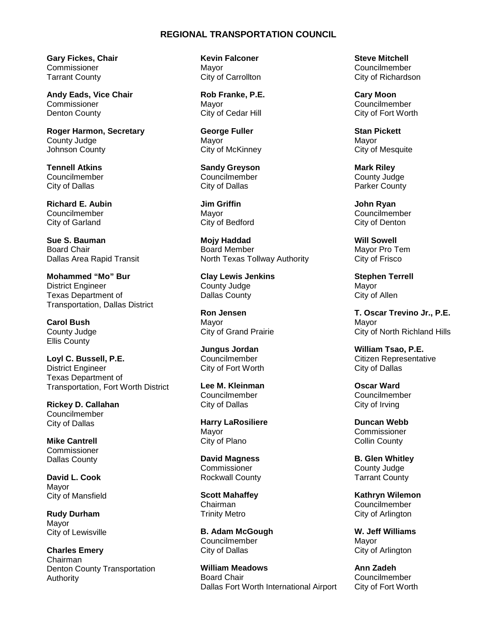#### **REGIONAL TRANSPORTATION COUNCIL**

**Gary Fickes, Chair** Commissioner Tarrant County

**Andy Eads, Vice Chair Commissioner** Denton County

**Roger Harmon, Secretary** County Judge Johnson County

**Tennell Atkins** Councilmember City of Dallas

**Richard E. Aubin** Councilmember City of Garland

**Sue S. Bauman** Board Chair Dallas Area Rapid Transit

**Mohammed "Mo" Bur** District Engineer Texas Department of Transportation, Dallas District

**Carol Bush** County Judge Ellis County

**Loyl C. Bussell, P.E.** District Engineer Texas Department of Transportation, Fort Worth District

**Rickey D. Callahan** Councilmember City of Dallas

**Mike Cantrell Commissioner** Dallas County

**David L. Cook** Mayor City of Mansfield

**Rudy Durham** Mayor City of Lewisville

**Charles Emery** Chairman Denton County Transportation Authority

**Kevin Falconer** Mayor City of Carrollton

**Rob Franke, P.E.** Mayor City of Cedar Hill

**George Fuller**  Mayor City of McKinney

**Sandy Greyson** Councilmember City of Dallas

**Jim Griffin** Mayor City of Bedford

**Mojy Haddad** Board Member North Texas Tollway Authority

**Clay Lewis Jenkins** County Judge Dallas County

**Ron Jensen** Mayor City of Grand Prairie

**Jungus Jordan** Councilmember City of Fort Worth

**Lee M. Kleinman** Councilmember City of Dallas

**Harry LaRosiliere** Mayor City of Plano

**David Magness Commissioner** Rockwall County

**Scott Mahaffey** Chairman Trinity Metro

**B. Adam McGough** Councilmember City of Dallas

**William Meadows** Board Chair Dallas Fort Worth International Airport **Steve Mitchell** Councilmember City of Richardson

**Cary Moon** Councilmember City of Fort Worth

**Stan Pickett** Mayor City of Mesquite

**Mark Riley** County Judge Parker County

**John Ryan** Councilmember City of Denton

**Will Sowell** Mayor Pro Tem City of Frisco

**Stephen Terrell** Mayor City of Allen

**T. Oscar Trevino Jr., P.E.** Mayor City of North Richland Hills

**William Tsao, P.E.** Citizen Representative City of Dallas

**Oscar Ward** Councilmember City of Irving

**Duncan Webb Commissioner** Collin County

**B. Glen Whitley** County Judge Tarrant County

**Kathryn Wilemon** Councilmember City of Arlington

**W. Jeff Williams** Mayor City of Arlington

**Ann Zadeh** Councilmember City of Fort Worth